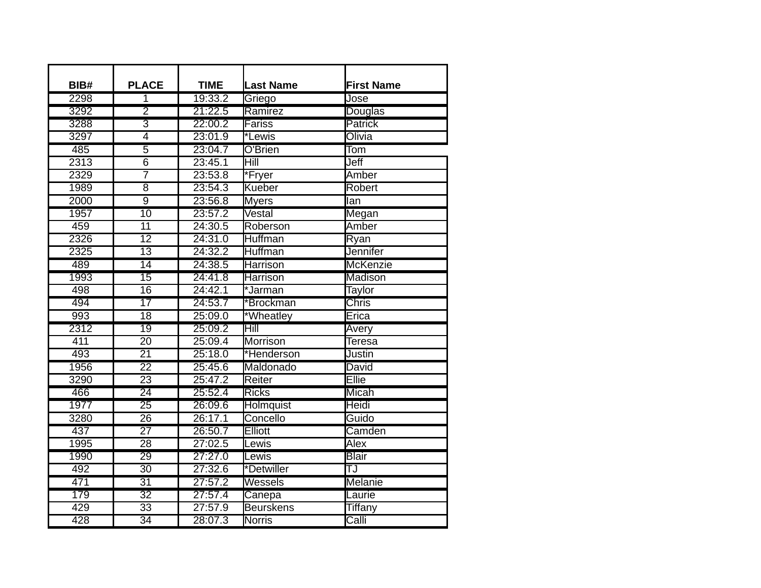| BIB# | <b>PLACE</b>    | <b>TIME</b> | <b>Last Name</b> | <b>First Name</b>       |
|------|-----------------|-------------|------------------|-------------------------|
| 2298 | $\overline{1}$  | 19:33.2     | Griego           | Jose                    |
| 3292 | $\overline{2}$  | 21:22.5     | Ramirez          | Douglas                 |
| 3288 | 3               | 22:00.2     | <b>Fariss</b>    | <b>Patrick</b>          |
| 3297 | $\overline{4}$  | 23:01.9     | *Lewis           | Olivia                  |
| 485  | $\overline{5}$  | 23:04.7     | O'Brien          | $\overline{\text{Tom}}$ |
| 2313 | $\overline{6}$  | 23:45.1     | Hill             | Jeff                    |
| 2329 | 7               | 23:53.8     | *Fryer           | Amber                   |
| 1989 | $\overline{8}$  | 23:54.3     | Kueber           | Robert                  |
| 2000 | $\overline{9}$  | 23:56.8     | Myers            | lan                     |
| 1957 | 10              | 23:57.2     | Vestal           | Megan                   |
| 459  | $\overline{11}$ | 24:30.5     | Roberson         | Amber                   |
| 2326 | $\overline{12}$ | 24:31.0     | Huffman          | Ryan                    |
| 2325 | $\overline{13}$ | 24:32.2     | Huffman          | Jennifer                |
| 489  | $\overline{14}$ | 24:38.5     | <b>Harrison</b>  | <b>McKenzie</b>         |
| 1993 | $\overline{15}$ | 24:41.8     | <b>Harrison</b>  | Madison                 |
| 498  | $\overline{16}$ | 24:42.1     | *Jarman          | Taylor                  |
| 494  | $\overline{17}$ | 24:53.7     | *Brockman        | <b>Chris</b>            |
| 993  | $\overline{18}$ | 25:09.0     | *Wheatley        | Erica                   |
| 2312 | 19              | 25:09.2     | Hill             | Avery                   |
| 411  | $\overline{20}$ | 25:09.4     | <b>Morrison</b>  | Teresa                  |
| 493  | $\overline{21}$ | 25:18.0     | *Henderson       | Justin                  |
| 1956 | $\overline{22}$ | 25:45.6     | Maldonado        | David                   |
| 3290 | $\overline{23}$ | 25:47.2     | Reiter           | Ellie                   |
| 466  | $\overline{24}$ | 25:52.4     | <b>Ricks</b>     | Micah                   |
| 1977 | $\overline{25}$ | 26:09.6     | <b>Holmquist</b> | Heidi                   |
| 3280 | $\overline{26}$ | 26:17.1     | Concello         | Guido                   |
| 437  | $\overline{27}$ | 26:50.7     | Elliott          | Camden                  |
| 1995 | $\overline{28}$ | 27:02.5     | Lewis            | Alex                    |
| 1990 | 29              | 27:27.0     | Lewis            | <b>Blair</b>            |
| 492  | 30              | 27:32.6     | *Detwiller       | TJ                      |
| 471  | $\overline{31}$ | 27:57.2     | Wessels          | Melanie                 |
| 179  | $\overline{32}$ | 27:57.4     | Canepa           | Laurie                  |
| 429  | $\overline{33}$ | 27:57.9     | <b>Beurskens</b> | <b>Tiffany</b>          |
| 428  | $\overline{34}$ | 28:07.3     | <b>Norris</b>    | Calli                   |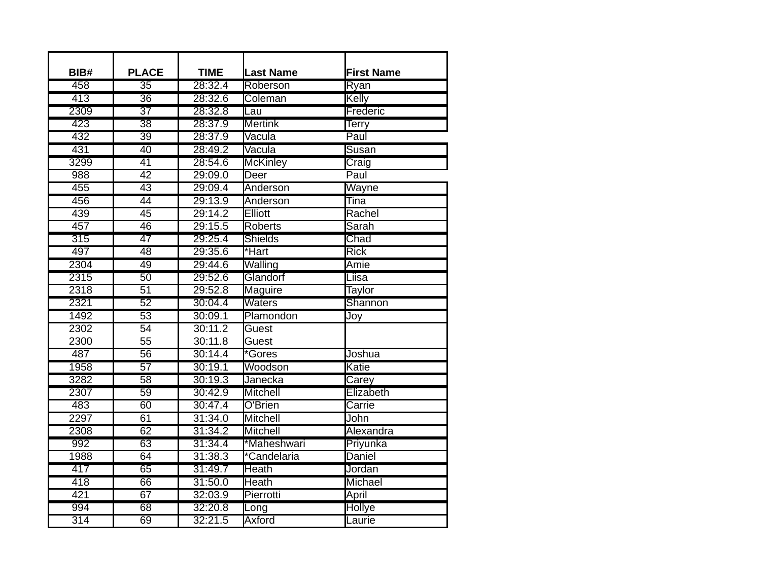| BIB#             | <b>PLACE</b>    | <b>TIME</b> | <b>Last Name</b> | <b>First Name</b> |
|------------------|-----------------|-------------|------------------|-------------------|
| 458              | $\overline{35}$ | 28:32.4     | Roberson         | Ryan              |
| 413              | $\overline{36}$ | 28:32.6     | <b>Coleman</b>   | Kelly             |
| 2309             | $\overline{37}$ | 28:32.8     | Lau              | Frederic          |
| 423              | $\overline{38}$ | 28:37.9     | <b>Mertink</b>   | Terry             |
| 432              | 39              | 28:37.9     | Vacula           | Paul              |
| 431              | 40              | 28:49.2     | Vacula           | <b>Susan</b>      |
| 3299             | 41              | 28:54.6     | <b>McKinley</b>  | Craig             |
| 988              | $\overline{42}$ | 29:09.0     | Deer             | Paul              |
| 455              | $\overline{43}$ | 29:09.4     | Anderson         | Wayne             |
| 456              | $\overline{44}$ | 29:13.9     | Anderson         | Tina              |
| 439              | $\overline{45}$ | 29:14.2     | Elliott          | Rachel            |
| 457              | 46              | 29:15.5     | <b>Roberts</b>   | Sarah             |
| 315              | 47              | 29:25.4     | <b>Shields</b>   | Chad              |
| 497              | $\overline{48}$ | 29:35.6     | *Hart            | Rick              |
| 2304             | 49              | 29:44.6     | Walling          | Amie              |
| 2315             | $\overline{50}$ | 29:52.6     | Glandorf         | Liisa             |
| 2318             | $\overline{51}$ | 29:52.8     | Maguire          | Taylor            |
| 2321             | $\overline{52}$ | 30:04.4     | <b>Waters</b>    | Shannon           |
| 1492             | $\overline{53}$ | 30:09.1     | Plamondon        | Joy               |
| 2302             | $\overline{54}$ | 30:11.2     | Guest            |                   |
| 2300             | 55              | 30:11.8     | Guest            |                   |
| 487              | $\overline{56}$ | 30:14.4     | *Gores           | Joshua            |
| 1958             | $\overline{57}$ | 30:19.1     | Woodson          | Katie             |
| 3282             | 58              | 30:19.3     | Janecka          | Carey             |
| 2307             | 59              | 30:42.9     | <b>Mitchell</b>  | Elizabeth         |
| 483              | 60              | 30:47.4     | O'Brien          | Carrie            |
| 2297             | $\overline{61}$ | 31:34.0     | <b>Mitchell</b>  | John              |
| 2308             | $\overline{62}$ | 31:34.2     | Mitchell         | Alexandra         |
| 992              | $\overline{63}$ | 31:34.4     | *Maheshwari      | Priyunka          |
| 1988             | $\overline{64}$ | 31:38.3     | *Candelaria      | Daniel            |
| 417              | 65              | 31:49.7     | <b>Heath</b>     | Jordan            |
| 418              | 66              | 31:50.0     | <b>Heath</b>     | Michael           |
| 421              | 67              | 32:03.9     | Pierrotti        | April             |
| 994              | $\overline{68}$ | 32:20.8     | Long             | Hollye            |
| $\overline{314}$ | 69              | 32:21.5     | <b>Axford</b>    | Laurie            |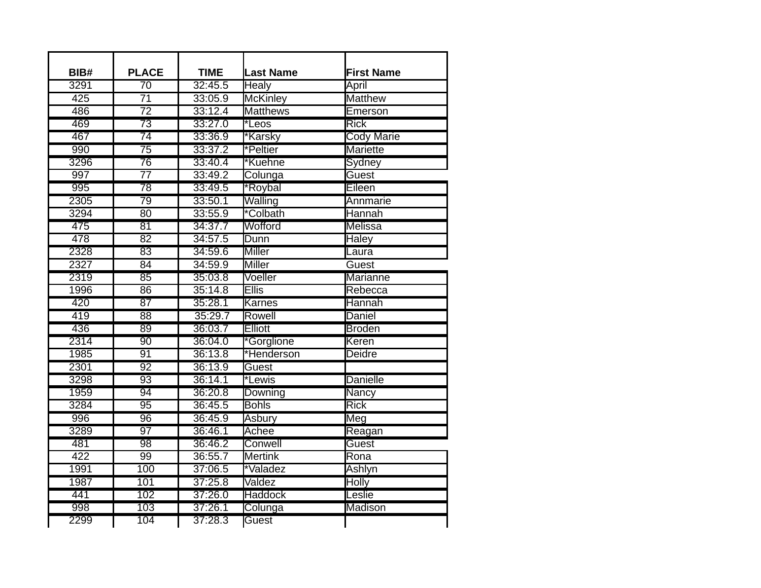| BIB# | <b>PLACE</b>    | <b>TIME</b> | <b>Last Name</b> | <b>First Name</b> |
|------|-----------------|-------------|------------------|-------------------|
| 3291 | 70              | 32:45.5     | Healy            | April             |
| 425  | $\overline{71}$ | 33:05.9     | <b>McKinley</b>  | <b>Matthew</b>    |
| 486  | $\overline{72}$ | 33:12.4     | <b>Matthews</b>  | Emerson           |
| 469  | $\overline{73}$ | 33:27.0     | *Leos            | <b>Rick</b>       |
| 467  | 74              | 33:36.9     | *Karsky          | <b>Cody Marie</b> |
| 990  | $\overline{75}$ | 33:37.2     | *Peltier         | Mariette          |
| 3296 | 76              | 33:40.4     | *Kuehne          | Sydney            |
| 997  | $\overline{77}$ | 33:49.2     | Colunga          | Guest             |
| 995  | 78              | 33:49.5     | *Roybal          | Eileen            |
| 2305 | $\overline{79}$ | 33:50.1     | Walling          | Annmarie          |
| 3294 | 80              | 33:55.9     | *Colbath         | Hannah            |
| 475  | $\overline{81}$ | 34:37.7     | Wofford          | Melissa           |
| 478  | $\overline{82}$ | 34:57.5     | Dunn             | Haley             |
| 2328 | $\overline{83}$ | 34:59.6     | <b>Miller</b>    | Laura             |
| 2327 | $\overline{84}$ | 34:59.9     | <b>Miller</b>    | Guest             |
| 2319 | $\overline{85}$ | 35:03.8     | Voeller          | <b>Marianne</b>   |
| 1996 | $\overline{86}$ | 35:14.8     | <b>Ellis</b>     | Rebecca           |
| 420  | $\overline{87}$ | 35:28.1     | <b>Karnes</b>    | Hannah            |
| 419  | 88              | 35:29.7     | Rowell           | Daniel            |
| 436  | 89              | 36:03.7     | Elliott          | <b>Broden</b>     |
| 2314 | 90              | 36:04.0     | *Gorglione       | Keren             |
| 1985 | 91              | 36:13.8     | *Henderson       | Deidre            |
| 2301 | $\overline{92}$ | 36:13.9     | Guest            |                   |
| 3298 | 93              | 36:14.1     | *Lewis           | <b>Danielle</b>   |
| 1959 | 94              | 36:20.8     | Downing          | Nancy             |
| 3284 | 95              | 36:45.5     | <b>Bohls</b>     | Rick              |
| 996  | 96              | 36:45.9     | <b>Asbury</b>    | Meg               |
| 3289 | 97              | 36:46.1     | Achee            | Reagan            |
| 481  | 98              | 36:46.2     | Conwell          | Guest             |
| 422  | 99              | 36:55.7     | <b>Mertink</b>   | Rona              |
| 1991 | 100             | 37:06.5     | *Valadez         | Ashlyn            |
| 1987 | 101             | 37:25.8     | Valdez           | <b>Holly</b>      |
| 441  | 102             | 37:26.0     | <b>Haddock</b>   | Leslie            |
| 998  | 103             | 37:26.1     | Colunga          | <b>Madison</b>    |
| 2299 | 104             | 37:28.3     | <b>Guest</b>     |                   |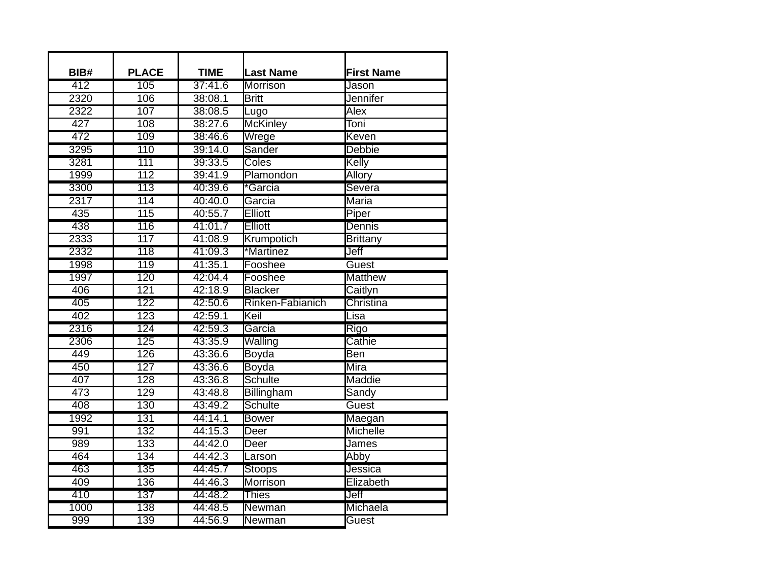| BIB#             | <b>PLACE</b>     | <b>TIME</b> | <b>Last Name</b> | <b>First Name</b> |
|------------------|------------------|-------------|------------------|-------------------|
| 412              | 105              | 37:41.6     | <b>Morrison</b>  | Jason             |
| 2320             | 106              | 38:08.1     | <b>Britt</b>     | <b>Jennifer</b>   |
| 2322             | 107              | 38:08.5     | Lugo             | Alex              |
| $\overline{427}$ | 108              | 38:27.6     | <b>McKinley</b>  | Toni              |
| 472              | 109              | 38:46.6     | Wrege            | Keven             |
| 3295             | 110              | 39:14.0     | <b>Sander</b>    | <b>Debbie</b>     |
| 3281             | 111              | 39:33.5     | Coles            | Kelly             |
| 1999             | 112              | 39:41.9     | Plamondon        | Allory            |
| 3300             | 113              | 40:39.6     | *Garcia          | Severa            |
| 2317             | 114              | 40:40.0     | Garcia           | Maria             |
| $\overline{435}$ | $\overline{115}$ | 40:55.7     | Elliott          | Piper             |
| 438              | 116              | 41:01.7     | <b>Elliott</b>   | Dennis            |
| 2333             | $\overline{117}$ | 41:08.9     | Krumpotich       | <b>Brittany</b>   |
| 2332             | $\overline{118}$ | 41:09.3     | *Martinez        | Jeff              |
| 1998             | 119              | 41:35.1     | Fooshee          | Guest             |
| 1997             | 120              | 42:04.4     | Fooshee          | <b>Matthew</b>    |
| 406              | $\overline{121}$ | 42:18.9     | <b>Blacker</b>   | Caitlyn           |
| 405              | 122              | 42:50.6     | Rinken-Fabianich | Christina         |
| 402              | $\overline{123}$ | 42:59.1     | Keil             | Lisa              |
| 2316             | 124              | 42:59.3     | Garcia           | Rigo              |
| 2306             | 125              | 43:35.9     | Walling          | Cathie            |
| 449              | 126              | 43:36.6     | Boyda            | Ben               |
| 450              | 127              | 43:36.6     | <b>Boyda</b>     | Mira              |
| 407              | 128              | 43:36.8     | <b>Schulte</b>   | Maddie            |
| 473              | 129              | 43:48.8     | Billingham       | Sandy             |
| 408              | 130              | 43:49.2     | <b>Schulte</b>   | Guest             |
| 1992             | 131              | 44:14.1     | <b>Bower</b>     | Maegan            |
| 991              | $\overline{132}$ | 44:15.3     | Deer             | Michelle          |
| 989              | 133              | 44:42.0     | Deer             | James             |
| 464              | 134              | 44:42.3     | Larson           | Abby              |
| 463              | 135              | 44:45.7     | <b>Stoops</b>    | Jessica           |
| 409              | 136              | 44:46.3     | Morrison         | Elizabeth         |
| 410              | 137              | 44:48.2     | <b>Thies</b>     | Jeff              |
| 1000             | 138              | 44:48.5     | Newman           | Michaela          |
| 999              | 139              | 44:56.9     | Newman           | Guest             |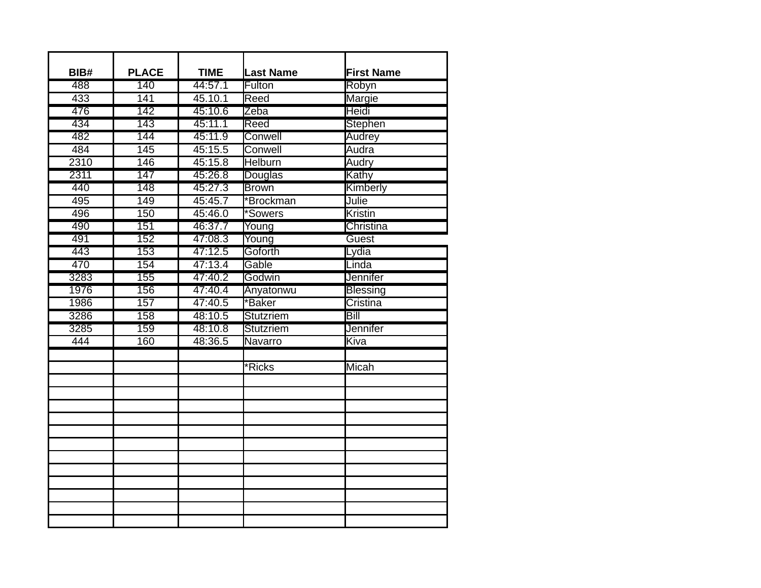| BIB# | <b>PLACE</b>     | <b>TIME</b> | <b>Last Name</b> | <b>First Name</b> |
|------|------------------|-------------|------------------|-------------------|
| 488  | 140              | 44:57.1     | Fulton           | Robyn             |
| 433  | 141              | 45.10.1     | Reed             | Margie            |
| 476  | $\overline{142}$ | 45:10.6     | Zeba             | Heidi             |
| 434  | 143              | 45:11.1     | Reed             | Stephen           |
| 482  | 144              | 45:11.9     | Conwell          | Audrey            |
| 484  | 145              | 45:15.5     | Conwell          | Audra             |
| 2310 | 146              | 45:15.8     | <b>Helburn</b>   | Audry             |
| 2311 | 147              | 45:26.8     | <b>Douglas</b>   | Kathy             |
| 440  | 148              | 45:27.3     | <b>Brown</b>     | Kimberly          |
| 495  | 149              | 45:45.7     | *Brockman        | Julie             |
| 496  | 150              | 45:46.0     | *Sowers          | Kristin           |
| 490  | 151              | 46:37.7     | Young            | Christina         |
| 491  | $\overline{152}$ | 47:08.3     | Young            | Guest             |
| 443  | 153              | 47:12.5     | Goforth          | Lydia             |
| 470  | 154              | 47:13.4     | Gable            | Linda             |
| 3283 | 155              | 47:40.2     | Godwin           | <b>Jennifer</b>   |
| 1976 | 156              | 47:40.4     | Anyatonwu        | <b>Blessing</b>   |
| 1986 | 157              | 47:40.5     | *Baker           | Cristina          |
| 3286 | 158              | 48:10.5     | <b>Stutzriem</b> | Bill              |
| 3285 | 159              | 48:10.8     | <b>Stutzriem</b> | Jennifer          |
| 444  | 160              | 48:36.5     | Navarro          | Kiva              |
|      |                  |             |                  |                   |
|      |                  |             | *Ricks           | Micah             |
|      |                  |             |                  |                   |
|      |                  |             |                  |                   |
|      |                  |             |                  |                   |
|      |                  |             |                  |                   |
|      |                  |             |                  |                   |
|      |                  |             |                  |                   |
|      |                  |             |                  |                   |
|      |                  |             |                  |                   |
|      |                  |             |                  |                   |
|      |                  |             |                  |                   |
|      |                  |             |                  |                   |
|      |                  |             |                  |                   |